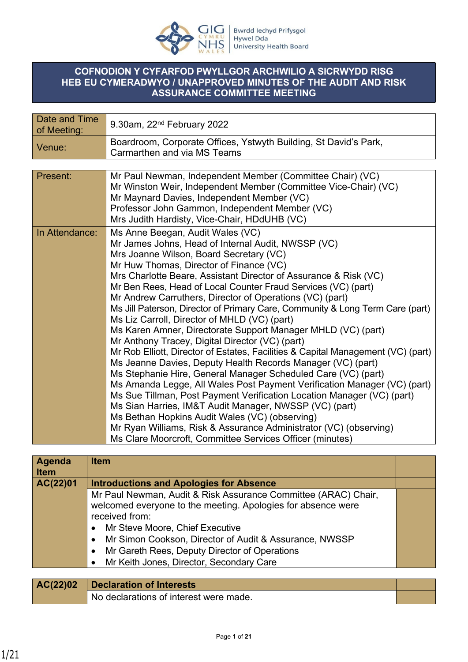

## **COFNODION Y CYFARFOD PWYLLGOR ARCHWILIO A SICRWYDD RISG HEB EU CYMERADWYO / UNAPPROVED MINUTES OF THE AUDIT AND RISK ASSURANCE COMMITTEE MEETING**

| Date and Time<br>of Meeting: | $9.30$ am, $22nd$ February 2022                                                                                                                                                                                                                                                                                                                                                                                                                                                                                                                                                                                                                                                                                                                                                                                                                                                                                                                                                                                                                                                                                                                                                                                                                          |
|------------------------------|----------------------------------------------------------------------------------------------------------------------------------------------------------------------------------------------------------------------------------------------------------------------------------------------------------------------------------------------------------------------------------------------------------------------------------------------------------------------------------------------------------------------------------------------------------------------------------------------------------------------------------------------------------------------------------------------------------------------------------------------------------------------------------------------------------------------------------------------------------------------------------------------------------------------------------------------------------------------------------------------------------------------------------------------------------------------------------------------------------------------------------------------------------------------------------------------------------------------------------------------------------|
| Venue:                       | Boardroom, Corporate Offices, Ystwyth Building, St David's Park,<br>Carmarthen and via MS Teams                                                                                                                                                                                                                                                                                                                                                                                                                                                                                                                                                                                                                                                                                                                                                                                                                                                                                                                                                                                                                                                                                                                                                          |
|                              |                                                                                                                                                                                                                                                                                                                                                                                                                                                                                                                                                                                                                                                                                                                                                                                                                                                                                                                                                                                                                                                                                                                                                                                                                                                          |
| Present:                     | Mr Paul Newman, Independent Member (Committee Chair) (VC)<br>Mr Winston Weir, Independent Member (Committee Vice-Chair) (VC)<br>Mr Maynard Davies, Independent Member (VC)<br>Professor John Gammon, Independent Member (VC)<br>Mrs Judith Hardisty, Vice-Chair, HDdUHB (VC)                                                                                                                                                                                                                                                                                                                                                                                                                                                                                                                                                                                                                                                                                                                                                                                                                                                                                                                                                                             |
| In Attendance:               | Ms Anne Beegan, Audit Wales (VC)<br>Mr James Johns, Head of Internal Audit, NWSSP (VC)<br>Mrs Joanne Wilson, Board Secretary (VC)<br>Mr Huw Thomas, Director of Finance (VC)<br>Mrs Charlotte Beare, Assistant Director of Assurance & Risk (VC)<br>Mr Ben Rees, Head of Local Counter Fraud Services (VC) (part)<br>Mr Andrew Carruthers, Director of Operations (VC) (part)<br>Ms Jill Paterson, Director of Primary Care, Community & Long Term Care (part)<br>Ms Liz Carroll, Director of MHLD (VC) (part)<br>Ms Karen Amner, Directorate Support Manager MHLD (VC) (part)<br>Mr Anthony Tracey, Digital Director (VC) (part)<br>Mr Rob Elliott, Director of Estates, Facilities & Capital Management (VC) (part)<br>Ms Jeanne Davies, Deputy Health Records Manager (VC) (part)<br>Ms Stephanie Hire, General Manager Scheduled Care (VC) (part)<br>Ms Amanda Legge, All Wales Post Payment Verification Manager (VC) (part)<br>Ms Sue Tillman, Post Payment Verification Location Manager (VC) (part)<br>Ms Sian Harries, IM&T Audit Manager, NWSSP (VC) (part)<br>Ms Bethan Hopkins Audit Wales (VC) (observing)<br>Mr Ryan Williams, Risk & Assurance Administrator (VC) (observing)<br>Ms Clare Moorcroft, Committee Services Officer (minutes) |

| Agenda<br><b>Item</b> | <b>Item</b>                                                    |  |
|-----------------------|----------------------------------------------------------------|--|
| AC(22)01              | <b>Introductions and Apologies for Absence</b>                 |  |
|                       | Mr Paul Newman, Audit & Risk Assurance Committee (ARAC) Chair, |  |
|                       | welcomed everyone to the meeting. Apologies for absence were   |  |
|                       | received from:                                                 |  |
|                       | Mr Steve Moore, Chief Executive                                |  |
|                       | Mr Simon Cookson, Director of Audit & Assurance, NWSSP         |  |
|                       | Mr Gareth Rees, Deputy Director of Operations                  |  |
|                       | Mr Keith Jones, Director, Secondary Care                       |  |
|                       |                                                                |  |

| AC(22)02 | Declaration of Interests               |  |
|----------|----------------------------------------|--|
|          | No declarations of interest were made. |  |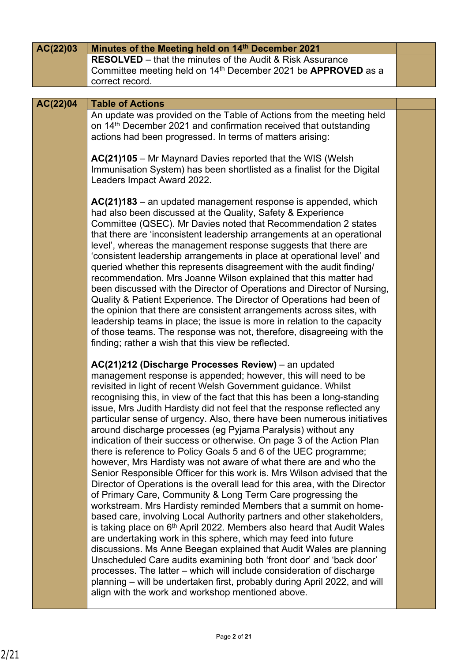| AC(22)03 | Minutes of the Meeting held on 14th December 2021                                                                                                                                                                                                                                                                                                                                                                                                                                                                                                                                                                                                                                                                                                                                                                                                                                                                                                                                                                                                                                                                                                                                                                                                                                                                                                                                                                                                                                                                                                                                                      |  |
|----------|--------------------------------------------------------------------------------------------------------------------------------------------------------------------------------------------------------------------------------------------------------------------------------------------------------------------------------------------------------------------------------------------------------------------------------------------------------------------------------------------------------------------------------------------------------------------------------------------------------------------------------------------------------------------------------------------------------------------------------------------------------------------------------------------------------------------------------------------------------------------------------------------------------------------------------------------------------------------------------------------------------------------------------------------------------------------------------------------------------------------------------------------------------------------------------------------------------------------------------------------------------------------------------------------------------------------------------------------------------------------------------------------------------------------------------------------------------------------------------------------------------------------------------------------------------------------------------------------------------|--|
|          | <b>RESOLVED</b> – that the minutes of the Audit & Risk Assurance<br>Committee meeting held on 14 <sup>th</sup> December 2021 be <b>APPROVED</b> as a<br>correct record.                                                                                                                                                                                                                                                                                                                                                                                                                                                                                                                                                                                                                                                                                                                                                                                                                                                                                                                                                                                                                                                                                                                                                                                                                                                                                                                                                                                                                                |  |
|          |                                                                                                                                                                                                                                                                                                                                                                                                                                                                                                                                                                                                                                                                                                                                                                                                                                                                                                                                                                                                                                                                                                                                                                                                                                                                                                                                                                                                                                                                                                                                                                                                        |  |
| AC(22)04 | <b>Table of Actions</b>                                                                                                                                                                                                                                                                                                                                                                                                                                                                                                                                                                                                                                                                                                                                                                                                                                                                                                                                                                                                                                                                                                                                                                                                                                                                                                                                                                                                                                                                                                                                                                                |  |
|          | An update was provided on the Table of Actions from the meeting held<br>on 14 <sup>th</sup> December 2021 and confirmation received that outstanding<br>actions had been progressed. In terms of matters arising:                                                                                                                                                                                                                                                                                                                                                                                                                                                                                                                                                                                                                                                                                                                                                                                                                                                                                                                                                                                                                                                                                                                                                                                                                                                                                                                                                                                      |  |
|          | AC(21)105 - Mr Maynard Davies reported that the WIS (Welsh<br>Immunisation System) has been shortlisted as a finalist for the Digital<br>Leaders Impact Award 2022.                                                                                                                                                                                                                                                                                                                                                                                                                                                                                                                                                                                                                                                                                                                                                                                                                                                                                                                                                                                                                                                                                                                                                                                                                                                                                                                                                                                                                                    |  |
|          | AC(21)183 - an updated management response is appended, which<br>had also been discussed at the Quality, Safety & Experience<br>Committee (QSEC). Mr Davies noted that Recommendation 2 states<br>that there are 'inconsistent leadership arrangements at an operational<br>level', whereas the management response suggests that there are<br>'consistent leadership arrangements in place at operational level' and<br>queried whether this represents disagreement with the audit finding/<br>recommendation. Mrs Joanne Wilson explained that this matter had<br>been discussed with the Director of Operations and Director of Nursing,<br>Quality & Patient Experience. The Director of Operations had been of<br>the opinion that there are consistent arrangements across sites, with<br>leadership teams in place; the issue is more in relation to the capacity<br>of those teams. The response was not, therefore, disagreeing with the<br>finding; rather a wish that this view be reflected.                                                                                                                                                                                                                                                                                                                                                                                                                                                                                                                                                                                              |  |
|          | AC(21)212 (Discharge Processes Review) - an updated<br>management response is appended; however, this will need to be<br>revisited in light of recent Welsh Government guidance. Whilst<br>recognising this, in view of the fact that this has been a long-standing<br>issue, Mrs Judith Hardisty did not feel that the response reflected any<br>particular sense of urgency. Also, there have been numerous initiatives<br>around discharge processes (eg Pyjama Paralysis) without any<br>indication of their success or otherwise. On page 3 of the Action Plan<br>there is reference to Policy Goals 5 and 6 of the UEC programme;<br>however, Mrs Hardisty was not aware of what there are and who the<br>Senior Responsible Officer for this work is. Mrs Wilson advised that the<br>Director of Operations is the overall lead for this area, with the Director<br>of Primary Care, Community & Long Term Care progressing the<br>workstream. Mrs Hardisty reminded Members that a summit on home-<br>based care, involving Local Authority partners and other stakeholders,<br>is taking place on 6 <sup>th</sup> April 2022. Members also heard that Audit Wales<br>are undertaking work in this sphere, which may feed into future<br>discussions. Ms Anne Beegan explained that Audit Wales are planning<br>Unscheduled Care audits examining both 'front door' and 'back door'<br>processes. The latter – which will include consideration of discharge<br>planning – will be undertaken first, probably during April 2022, and will<br>align with the work and workshop mentioned above. |  |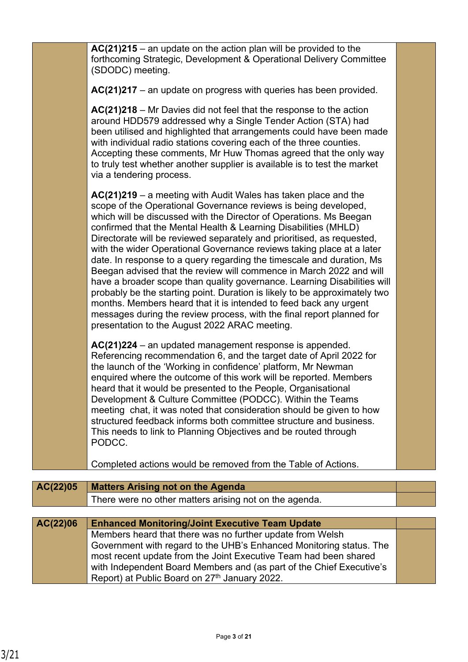|          | with individual radio stations covering each of the three counties.<br>Accepting these comments, Mr Huw Thomas agreed that the only way<br>to truly test whether another supplier is available is to test the market<br>via a tendering process.                                                                                                                                                                                                                                                                                                                                                                                                                                                                                                                                                                                                                                                                                         |  |
|----------|------------------------------------------------------------------------------------------------------------------------------------------------------------------------------------------------------------------------------------------------------------------------------------------------------------------------------------------------------------------------------------------------------------------------------------------------------------------------------------------------------------------------------------------------------------------------------------------------------------------------------------------------------------------------------------------------------------------------------------------------------------------------------------------------------------------------------------------------------------------------------------------------------------------------------------------|--|
|          | $AC(21)219 - a$ meeting with Audit Wales has taken place and the<br>scope of the Operational Governance reviews is being developed,<br>which will be discussed with the Director of Operations. Ms Beegan<br>confirmed that the Mental Health & Learning Disabilities (MHLD)<br>Directorate will be reviewed separately and prioritised, as requested,<br>with the wider Operational Governance reviews taking place at a later<br>date. In response to a query regarding the timescale and duration, Ms<br>Beegan advised that the review will commence in March 2022 and will<br>have a broader scope than quality governance. Learning Disabilities will<br>probably be the starting point. Duration is likely to be approximately two<br>months. Members heard that it is intended to feed back any urgent<br>messages during the review process, with the final report planned for<br>presentation to the August 2022 ARAC meeting. |  |
|          | AC(21)224 – an updated management response is appended.<br>Referencing recommendation 6, and the target date of April 2022 for<br>the launch of the 'Working in confidence' platform, Mr Newman<br>enquired where the outcome of this work will be reported. Members<br>heard that it would be presented to the People, Organisational<br>Development & Culture Committee (PODCC). Within the Teams<br>meeting chat, it was noted that consideration should be given to how<br>structured feedback informs both committee structure and business.<br>This needs to link to Planning Objectives and be routed through<br>PODCC.                                                                                                                                                                                                                                                                                                           |  |
|          | Completed actions would be removed from the Table of Actions.                                                                                                                                                                                                                                                                                                                                                                                                                                                                                                                                                                                                                                                                                                                                                                                                                                                                            |  |
| AC(22)05 | <b>Matters Arising not on the Agenda</b>                                                                                                                                                                                                                                                                                                                                                                                                                                                                                                                                                                                                                                                                                                                                                                                                                                                                                                 |  |
|          | There were no other matters arising not on the agenda.                                                                                                                                                                                                                                                                                                                                                                                                                                                                                                                                                                                                                                                                                                                                                                                                                                                                                   |  |
| AC(22)06 | <b>Enhanced Monitoring/Joint Executive Team Update</b><br>Members heard that there was no further update from Welsh<br>Government with regard to the UHB's Enhanced Monitoring status. The<br>most recent update from the Joint Executive Team had been shared<br>with Independent Board Members and (as part of the Chief Executive's<br>Report) at Public Board on 27th January 2022.                                                                                                                                                                                                                                                                                                                                                                                                                                                                                                                                                  |  |
|          |                                                                                                                                                                                                                                                                                                                                                                                                                                                                                                                                                                                                                                                                                                                                                                                                                                                                                                                                          |  |

**AC(21)215** – an update on the action plan will be provided to the

(SDODC) meeting.

forthcoming Strategic, Development & Operational Delivery Committee

**AC(21)217** – an update on progress with queries has been provided.

**AC(21)218** – Mr Davies did not feel that the response to the action around HDD579 addressed why a Single Tender Action (STA) had been utilised and highlighted that arrangements could have been made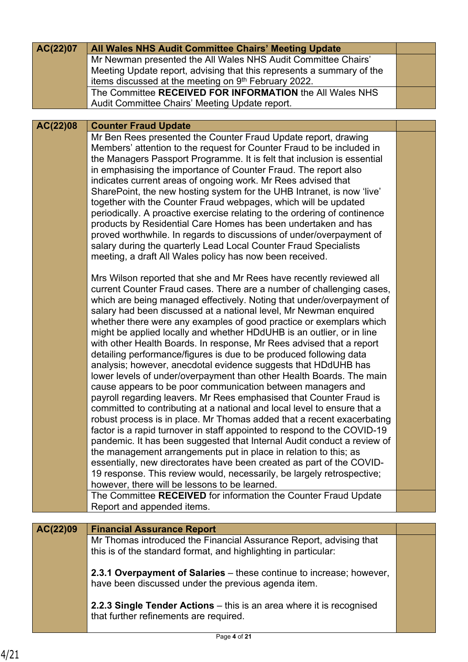| AC(22)07 | All Wales NHS Audit Committee Chairs' Meeting Update                                                                                                                                                                                                                                                                                                                                                                                                                                                                                                                                                                                                                                                                                                                                                                                                                                                                                                                                                                           |  |
|----------|--------------------------------------------------------------------------------------------------------------------------------------------------------------------------------------------------------------------------------------------------------------------------------------------------------------------------------------------------------------------------------------------------------------------------------------------------------------------------------------------------------------------------------------------------------------------------------------------------------------------------------------------------------------------------------------------------------------------------------------------------------------------------------------------------------------------------------------------------------------------------------------------------------------------------------------------------------------------------------------------------------------------------------|--|
|          | Mr Newman presented the All Wales NHS Audit Committee Chairs'<br>Meeting Update report, advising that this represents a summary of the                                                                                                                                                                                                                                                                                                                                                                                                                                                                                                                                                                                                                                                                                                                                                                                                                                                                                         |  |
|          | items discussed at the meeting on 9th February 2022.<br>The Committee RECEIVED FOR INFORMATION the All Wales NHS                                                                                                                                                                                                                                                                                                                                                                                                                                                                                                                                                                                                                                                                                                                                                                                                                                                                                                               |  |
|          | Audit Committee Chairs' Meeting Update report.                                                                                                                                                                                                                                                                                                                                                                                                                                                                                                                                                                                                                                                                                                                                                                                                                                                                                                                                                                                 |  |
| AC(22)08 | <b>Counter Fraud Update</b>                                                                                                                                                                                                                                                                                                                                                                                                                                                                                                                                                                                                                                                                                                                                                                                                                                                                                                                                                                                                    |  |
|          | Mr Ben Rees presented the Counter Fraud Update report, drawing<br>Members' attention to the request for Counter Fraud to be included in<br>the Managers Passport Programme. It is felt that inclusion is essential<br>in emphasising the importance of Counter Fraud. The report also<br>indicates current areas of ongoing work. Mr Rees advised that<br>SharePoint, the new hosting system for the UHB Intranet, is now 'live'<br>together with the Counter Fraud webpages, which will be updated                                                                                                                                                                                                                                                                                                                                                                                                                                                                                                                            |  |
|          | periodically. A proactive exercise relating to the ordering of continence<br>products by Residential Care Homes has been undertaken and has<br>proved worthwhile. In regards to discussions of under/overpayment of<br>salary during the quarterly Lead Local Counter Fraud Specialists<br>meeting, a draft All Wales policy has now been received.                                                                                                                                                                                                                                                                                                                                                                                                                                                                                                                                                                                                                                                                            |  |
|          | Mrs Wilson reported that she and Mr Rees have recently reviewed all<br>current Counter Fraud cases. There are a number of challenging cases,<br>which are being managed effectively. Noting that under/overpayment of<br>salary had been discussed at a national level, Mr Newman enquired<br>whether there were any examples of good practice or exemplars which<br>might be applied locally and whether HDdUHB is an outlier, or in line<br>with other Health Boards. In response, Mr Rees advised that a report<br>detailing performance/figures is due to be produced following data<br>analysis; however, anecdotal evidence suggests that HDdUHB has<br>lower levels of under/overpayment than other Health Boards. The main<br>cause appears to be poor communication between managers and<br>payroll regarding leavers. Mr Rees emphasised that Counter Fraud is<br>committed to contributing at a national and local level to ensure that a<br>robust process is in place. Mr Thomas added that a recent exacerbating |  |
|          | factor is a rapid turnover in staff appointed to respond to the COVID-19<br>pandemic. It has been suggested that Internal Audit conduct a review of<br>the management arrangements put in place in relation to this; as<br>essentially, new directorates have been created as part of the COVID-<br>19 response. This review would, necessarily, be largely retrospective;<br>however, there will be lessons to be learned.<br>The Committee RECEIVED for information the Counter Fraud Update                                                                                                                                                                                                                                                                                                                                                                                                                                                                                                                                 |  |
|          | Report and appended items.                                                                                                                                                                                                                                                                                                                                                                                                                                                                                                                                                                                                                                                                                                                                                                                                                                                                                                                                                                                                     |  |
| AC(22)09 | <b>Financial Assurance Report</b>                                                                                                                                                                                                                                                                                                                                                                                                                                                                                                                                                                                                                                                                                                                                                                                                                                                                                                                                                                                              |  |
|          | Mr Thomas introduced the Financial Assurance Report, advising that<br>this is of the standard format, and highlighting in particular:                                                                                                                                                                                                                                                                                                                                                                                                                                                                                                                                                                                                                                                                                                                                                                                                                                                                                          |  |
|          | 2.3.1 Overpayment of Salaries - these continue to increase; however,<br>have been discussed under the previous agenda item.                                                                                                                                                                                                                                                                                                                                                                                                                                                                                                                                                                                                                                                                                                                                                                                                                                                                                                    |  |
|          | 2.2.3 Single Tender Actions – this is an area where it is recognised<br>that further refinements are required.                                                                                                                                                                                                                                                                                                                                                                                                                                                                                                                                                                                                                                                                                                                                                                                                                                                                                                                 |  |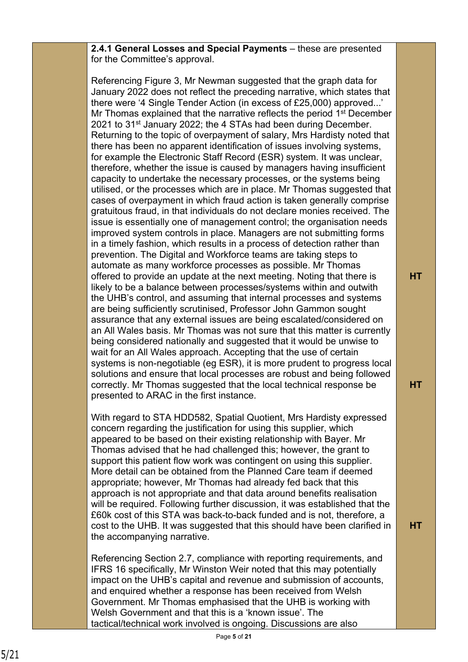**2.4.1 General Losses and Special Payments** – these are presented for the Committee's approval.

Referencing Figure 3, Mr Newman suggested that the graph data for January 2022 does not reflect the preceding narrative, which states that there were '4 Single Tender Action (in excess of £25,000) approved...' Mr Thomas explained that the narrative reflects the period 1st December 2021 to 31<sup>st</sup> January 2022; the 4 STAs had been during December. Returning to the topic of overpayment of salary, Mrs Hardisty noted that there has been no apparent identification of issues involving systems, for example the Electronic Staff Record (ESR) system. It was unclear, therefore, whether the issue is caused by managers having insufficient capacity to undertake the necessary processes, or the systems being utilised, or the processes which are in place. Mr Thomas suggested that cases of overpayment in which fraud action is taken generally comprise gratuitous fraud, in that individuals do not declare monies received. The issue is essentially one of management control; the organisation needs improved system controls in place. Managers are not submitting forms in a timely fashion, which results in a process of detection rather than prevention. The Digital and Workforce teams are taking steps to automate as many workforce processes as possible. Mr Thomas offered to provide an update at the next meeting. Noting that there is likely to be a balance between processes/systems within and outwith the UHB's control, and assuming that internal processes and systems are being sufficiently scrutinised, Professor John Gammon sought assurance that any external issues are being escalated/considered on an All Wales basis. Mr Thomas was not sure that this matter is currently being considered nationally and suggested that it would be unwise to wait for an All Wales approach. Accepting that the use of certain systems is non-negotiable (eg ESR), it is more prudent to progress local solutions and ensure that local processes are robust and being followed correctly. Mr Thomas suggested that the local technical response be presented to ARAC in the first instance.

With regard to STA HDD582, Spatial Quotient, Mrs Hardisty expressed concern regarding the justification for using this supplier, which appeared to be based on their existing relationship with Bayer. Mr Thomas advised that he had challenged this; however, the grant to support this patient flow work was contingent on using this supplier. More detail can be obtained from the Planned Care team if deemed appropriate; however, Mr Thomas had already fed back that this approach is not appropriate and that data around benefits realisation will be required. Following further discussion, it was established that the £60k cost of this STA was back-to-back funded and is not, therefore, a cost to the UHB. It was suggested that this should have been clarified in the accompanying narrative.

Referencing Section 2.7, compliance with reporting requirements, and IFRS 16 specifically, Mr Winston Weir noted that this may potentially impact on the UHB's capital and revenue and submission of accounts, and enquired whether a response has been received from Welsh Government. Mr Thomas emphasised that the UHB is working with Welsh Government and that this is a 'known issue'. The tactical/technical work involved is ongoing. Discussions are also

**HT**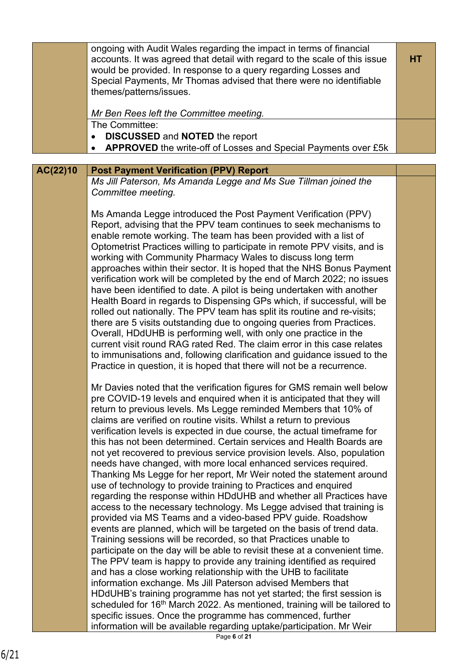|          | ongoing with Audit Wales regarding the impact in terms of financial<br>accounts. It was agreed that detail with regard to the scale of this issue<br>would be provided. In response to a query regarding Losses and<br>Special Payments, Mr Thomas advised that there were no identifiable<br>themes/patterns/issues.<br>Mr Ben Rees left the Committee meeting.                                                                                                                                                                                                                                                                                                                                                                                                                                                                                                                                                                                                                                                                                                                                                                                                                                                                                                                                                                                                                                                                                                                                                                                                                                                 | <b>HT</b> |
|----------|------------------------------------------------------------------------------------------------------------------------------------------------------------------------------------------------------------------------------------------------------------------------------------------------------------------------------------------------------------------------------------------------------------------------------------------------------------------------------------------------------------------------------------------------------------------------------------------------------------------------------------------------------------------------------------------------------------------------------------------------------------------------------------------------------------------------------------------------------------------------------------------------------------------------------------------------------------------------------------------------------------------------------------------------------------------------------------------------------------------------------------------------------------------------------------------------------------------------------------------------------------------------------------------------------------------------------------------------------------------------------------------------------------------------------------------------------------------------------------------------------------------------------------------------------------------------------------------------------------------|-----------|
|          | The Committee:<br><b>DISCUSSED and NOTED the report</b><br>$\bullet$<br>APPROVED the write-off of Losses and Special Payments over £5k                                                                                                                                                                                                                                                                                                                                                                                                                                                                                                                                                                                                                                                                                                                                                                                                                                                                                                                                                                                                                                                                                                                                                                                                                                                                                                                                                                                                                                                                           |           |
|          |                                                                                                                                                                                                                                                                                                                                                                                                                                                                                                                                                                                                                                                                                                                                                                                                                                                                                                                                                                                                                                                                                                                                                                                                                                                                                                                                                                                                                                                                                                                                                                                                                  |           |
| AC(22)10 | <b>Post Payment Verification (PPV) Report</b>                                                                                                                                                                                                                                                                                                                                                                                                                                                                                                                                                                                                                                                                                                                                                                                                                                                                                                                                                                                                                                                                                                                                                                                                                                                                                                                                                                                                                                                                                                                                                                    |           |
|          | Ms Jill Paterson, Ms Amanda Legge and Ms Sue Tillman joined the<br>Committee meeting.                                                                                                                                                                                                                                                                                                                                                                                                                                                                                                                                                                                                                                                                                                                                                                                                                                                                                                                                                                                                                                                                                                                                                                                                                                                                                                                                                                                                                                                                                                                            |           |
|          | Ms Amanda Legge introduced the Post Payment Verification (PPV)<br>Report, advising that the PPV team continues to seek mechanisms to<br>enable remote working. The team has been provided with a list of<br>Optometrist Practices willing to participate in remote PPV visits, and is<br>working with Community Pharmacy Wales to discuss long term<br>approaches within their sector. It is hoped that the NHS Bonus Payment<br>verification work will be completed by the end of March 2022; no issues<br>have been identified to date. A pilot is being undertaken with another<br>Health Board in regards to Dispensing GPs which, if successful, will be<br>rolled out nationally. The PPV team has split its routine and re-visits;<br>there are 5 visits outstanding due to ongoing queries from Practices.<br>Overall, HDdUHB is performing well, with only one practice in the<br>current visit round RAG rated Red. The claim error in this case relates<br>to immunisations and, following clarification and guidance issued to the<br>Practice in question, it is hoped that there will not be a recurrence.                                                                                                                                                                                                                                                                                                                                                                                                                                                                                         |           |
|          | Mr Davies noted that the verification figures for GMS remain well below<br>pre COVID-19 levels and enquired when it is anticipated that they will<br>return to previous levels. Ms Legge reminded Members that 10% of<br>claims are verified on routine visits. Whilst a return to previous<br>verification levels is expected in due course, the actual timeframe for<br>this has not been determined. Certain services and Health Boards are<br>not yet recovered to previous service provision levels. Also, population<br>needs have changed, with more local enhanced services required.<br>Thanking Ms Legge for her report, Mr Weir noted the statement around<br>use of technology to provide training to Practices and enquired<br>regarding the response within HDdUHB and whether all Practices have<br>access to the necessary technology. Ms Legge advised that training is<br>provided via MS Teams and a video-based PPV guide. Roadshow<br>events are planned, which will be targeted on the basis of trend data.<br>Training sessions will be recorded, so that Practices unable to<br>participate on the day will be able to revisit these at a convenient time.<br>The PPV team is happy to provide any training identified as required<br>and has a close working relationship with the UHB to facilitate<br>information exchange. Ms Jill Paterson advised Members that<br>HDdUHB's training programme has not yet started; the first session is<br>scheduled for 16th March 2022. As mentioned, training will be tailored to<br>specific issues. Once the programme has commenced, further |           |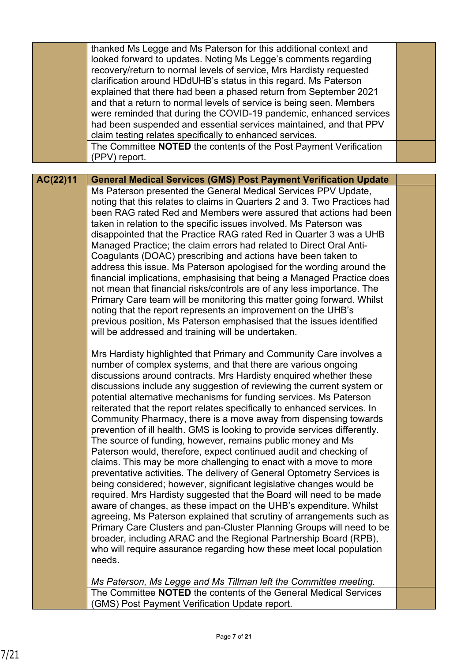|          | thanked Ms Legge and Ms Paterson for this additional context and<br>looked forward to updates. Noting Ms Legge's comments regarding<br>recovery/return to normal levels of service, Mrs Hardisty requested<br>clarification around HDdUHB's status in this regard. Ms Paterson<br>explained that there had been a phased return from September 2021<br>and that a return to normal levels of service is being seen. Members<br>were reminded that during the COVID-19 pandemic, enhanced services<br>had been suspended and essential services maintained, and that PPV                                                                                                                                                                                                                                                                                                                                                                                                                                                                                                                                                                                                                                                                                                                                                                                                                                |  |
|----------|--------------------------------------------------------------------------------------------------------------------------------------------------------------------------------------------------------------------------------------------------------------------------------------------------------------------------------------------------------------------------------------------------------------------------------------------------------------------------------------------------------------------------------------------------------------------------------------------------------------------------------------------------------------------------------------------------------------------------------------------------------------------------------------------------------------------------------------------------------------------------------------------------------------------------------------------------------------------------------------------------------------------------------------------------------------------------------------------------------------------------------------------------------------------------------------------------------------------------------------------------------------------------------------------------------------------------------------------------------------------------------------------------------|--|
|          | claim testing relates specifically to enhanced services.                                                                                                                                                                                                                                                                                                                                                                                                                                                                                                                                                                                                                                                                                                                                                                                                                                                                                                                                                                                                                                                                                                                                                                                                                                                                                                                                               |  |
|          | The Committee NOTED the contents of the Post Payment Verification                                                                                                                                                                                                                                                                                                                                                                                                                                                                                                                                                                                                                                                                                                                                                                                                                                                                                                                                                                                                                                                                                                                                                                                                                                                                                                                                      |  |
|          | (PPV) report.                                                                                                                                                                                                                                                                                                                                                                                                                                                                                                                                                                                                                                                                                                                                                                                                                                                                                                                                                                                                                                                                                                                                                                                                                                                                                                                                                                                          |  |
| AC(22)11 | <b>General Medical Services (GMS) Post Payment Verification Update</b>                                                                                                                                                                                                                                                                                                                                                                                                                                                                                                                                                                                                                                                                                                                                                                                                                                                                                                                                                                                                                                                                                                                                                                                                                                                                                                                                 |  |
|          | Ms Paterson presented the General Medical Services PPV Update,                                                                                                                                                                                                                                                                                                                                                                                                                                                                                                                                                                                                                                                                                                                                                                                                                                                                                                                                                                                                                                                                                                                                                                                                                                                                                                                                         |  |
|          | noting that this relates to claims in Quarters 2 and 3. Two Practices had                                                                                                                                                                                                                                                                                                                                                                                                                                                                                                                                                                                                                                                                                                                                                                                                                                                                                                                                                                                                                                                                                                                                                                                                                                                                                                                              |  |
|          | been RAG rated Red and Members were assured that actions had been                                                                                                                                                                                                                                                                                                                                                                                                                                                                                                                                                                                                                                                                                                                                                                                                                                                                                                                                                                                                                                                                                                                                                                                                                                                                                                                                      |  |
|          | taken in relation to the specific issues involved. Ms Paterson was                                                                                                                                                                                                                                                                                                                                                                                                                                                                                                                                                                                                                                                                                                                                                                                                                                                                                                                                                                                                                                                                                                                                                                                                                                                                                                                                     |  |
|          | disappointed that the Practice RAG rated Red in Quarter 3 was a UHB                                                                                                                                                                                                                                                                                                                                                                                                                                                                                                                                                                                                                                                                                                                                                                                                                                                                                                                                                                                                                                                                                                                                                                                                                                                                                                                                    |  |
|          | Managed Practice; the claim errors had related to Direct Oral Anti-                                                                                                                                                                                                                                                                                                                                                                                                                                                                                                                                                                                                                                                                                                                                                                                                                                                                                                                                                                                                                                                                                                                                                                                                                                                                                                                                    |  |
|          | Coagulants (DOAC) prescribing and actions have been taken to                                                                                                                                                                                                                                                                                                                                                                                                                                                                                                                                                                                                                                                                                                                                                                                                                                                                                                                                                                                                                                                                                                                                                                                                                                                                                                                                           |  |
|          | address this issue. Ms Paterson apologised for the wording around the<br>financial implications, emphasising that being a Managed Practice does                                                                                                                                                                                                                                                                                                                                                                                                                                                                                                                                                                                                                                                                                                                                                                                                                                                                                                                                                                                                                                                                                                                                                                                                                                                        |  |
|          | not mean that financial risks/controls are of any less importance. The                                                                                                                                                                                                                                                                                                                                                                                                                                                                                                                                                                                                                                                                                                                                                                                                                                                                                                                                                                                                                                                                                                                                                                                                                                                                                                                                 |  |
|          | Primary Care team will be monitoring this matter going forward. Whilst                                                                                                                                                                                                                                                                                                                                                                                                                                                                                                                                                                                                                                                                                                                                                                                                                                                                                                                                                                                                                                                                                                                                                                                                                                                                                                                                 |  |
|          | noting that the report represents an improvement on the UHB's                                                                                                                                                                                                                                                                                                                                                                                                                                                                                                                                                                                                                                                                                                                                                                                                                                                                                                                                                                                                                                                                                                                                                                                                                                                                                                                                          |  |
|          | previous position, Ms Paterson emphasised that the issues identified                                                                                                                                                                                                                                                                                                                                                                                                                                                                                                                                                                                                                                                                                                                                                                                                                                                                                                                                                                                                                                                                                                                                                                                                                                                                                                                                   |  |
|          | will be addressed and training will be undertaken.                                                                                                                                                                                                                                                                                                                                                                                                                                                                                                                                                                                                                                                                                                                                                                                                                                                                                                                                                                                                                                                                                                                                                                                                                                                                                                                                                     |  |
|          | Mrs Hardisty highlighted that Primary and Community Care involves a<br>number of complex systems, and that there are various ongoing<br>discussions around contracts. Mrs Hardisty enquired whether these<br>discussions include any suggestion of reviewing the current system or<br>potential alternative mechanisms for funding services. Ms Paterson<br>reiterated that the report relates specifically to enhanced services. In<br>Community Pharmacy, there is a move away from dispensing towards<br>prevention of ill health. GMS is looking to provide services differently.<br>The source of funding, however, remains public money and Ms<br>Paterson would, therefore, expect continued audit and checking of<br>claims. This may be more challenging to enact with a move to more<br>preventative activities. The delivery of General Optometry Services is<br>being considered; however, significant legislative changes would be<br>required. Mrs Hardisty suggested that the Board will need to be made<br>aware of changes, as these impact on the UHB's expenditure. Whilst<br>agreeing, Ms Paterson explained that scrutiny of arrangements such as<br>Primary Care Clusters and pan-Cluster Planning Groups will need to be<br>broader, including ARAC and the Regional Partnership Board (RPB),<br>who will require assurance regarding how these meet local population<br>needs. |  |
|          |                                                                                                                                                                                                                                                                                                                                                                                                                                                                                                                                                                                                                                                                                                                                                                                                                                                                                                                                                                                                                                                                                                                                                                                                                                                                                                                                                                                                        |  |
|          | Ms Paterson, Ms Legge and Ms Tillman left the Committee meeting.                                                                                                                                                                                                                                                                                                                                                                                                                                                                                                                                                                                                                                                                                                                                                                                                                                                                                                                                                                                                                                                                                                                                                                                                                                                                                                                                       |  |
|          | The Committee NOTED the contents of the General Medical Services<br>(GMS) Post Payment Verification Update report.                                                                                                                                                                                                                                                                                                                                                                                                                                                                                                                                                                                                                                                                                                                                                                                                                                                                                                                                                                                                                                                                                                                                                                                                                                                                                     |  |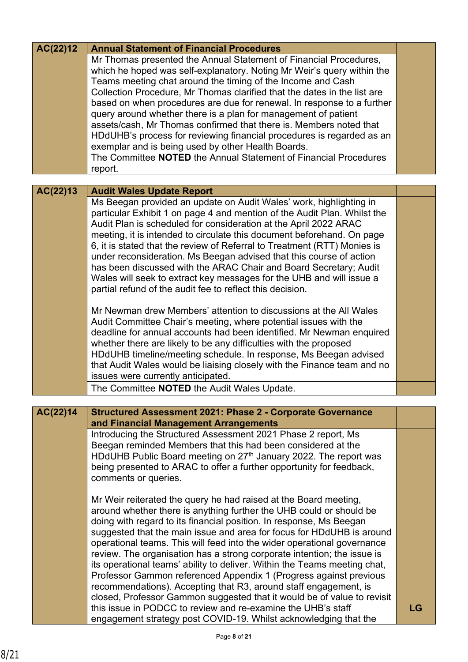| AC(22)12 | <b>Annual Statement of Financial Procedures</b>                                                                                                                                                                    |    |
|----------|--------------------------------------------------------------------------------------------------------------------------------------------------------------------------------------------------------------------|----|
|          | Mr Thomas presented the Annual Statement of Financial Procedures,<br>which he hoped was self-explanatory. Noting Mr Weir's query within the<br>Teams meeting chat around the timing of the Income and Cash         |    |
|          | Collection Procedure, Mr Thomas clarified that the dates in the list are                                                                                                                                           |    |
|          | based on when procedures are due for renewal. In response to a further                                                                                                                                             |    |
|          | query around whether there is a plan for management of patient                                                                                                                                                     |    |
|          | assets/cash, Mr Thomas confirmed that there is. Members noted that<br>HDdUHB's process for reviewing financial procedures is regarded as an                                                                        |    |
|          | exemplar and is being used by other Health Boards.                                                                                                                                                                 |    |
|          | The Committee <b>NOTED</b> the Annual Statement of Financial Procedures                                                                                                                                            |    |
|          | report.                                                                                                                                                                                                            |    |
|          |                                                                                                                                                                                                                    |    |
| AC(22)13 | <b>Audit Wales Update Report</b>                                                                                                                                                                                   |    |
|          | Ms Beegan provided an update on Audit Wales' work, highlighting in<br>particular Exhibit 1 on page 4 and mention of the Audit Plan. Whilst the<br>Audit Plan is scheduled for consideration at the April 2022 ARAC |    |
|          | meeting, it is intended to circulate this document beforehand. On page                                                                                                                                             |    |
|          | 6, it is stated that the review of Referral to Treatment (RTT) Monies is                                                                                                                                           |    |
|          | under reconsideration. Ms Beegan advised that this course of action                                                                                                                                                |    |
|          | has been discussed with the ARAC Chair and Board Secretary; Audit                                                                                                                                                  |    |
|          | Wales will seek to extract key messages for the UHB and will issue a<br>partial refund of the audit fee to reflect this decision.                                                                                  |    |
|          |                                                                                                                                                                                                                    |    |
|          | Mr Newman drew Members' attention to discussions at the All Wales                                                                                                                                                  |    |
|          | Audit Committee Chair's meeting, where potential issues with the                                                                                                                                                   |    |
|          | deadline for annual accounts had been identified. Mr Newman enquired                                                                                                                                               |    |
|          | whether there are likely to be any difficulties with the proposed                                                                                                                                                  |    |
|          | HDdUHB timeline/meeting schedule. In response, Ms Beegan advised<br>that Audit Wales would be liaising closely with the Finance team and no                                                                        |    |
|          | issues were currently anticipated.                                                                                                                                                                                 |    |
|          | The Committee NOTED the Audit Wales Update.                                                                                                                                                                        |    |
|          |                                                                                                                                                                                                                    |    |
| AC(22)14 | <b>Structured Assessment 2021: Phase 2 - Corporate Governance</b><br>and Financial Management Arrangements                                                                                                         |    |
|          | Introducing the Structured Assessment 2021 Phase 2 report, Ms                                                                                                                                                      |    |
|          | Beegan reminded Members that this had been considered at the<br>HDdUHB Public Board meeting on 27 <sup>th</sup> January 2022. The report was                                                                       |    |
|          | being presented to ARAC to offer a further opportunity for feedback,                                                                                                                                               |    |
|          | comments or queries.                                                                                                                                                                                               |    |
|          | Mr Weir reiterated the query he had raised at the Board meeting,                                                                                                                                                   |    |
|          | around whether there is anything further the UHB could or should be                                                                                                                                                |    |
|          | doing with regard to its financial position. In response, Ms Beegan                                                                                                                                                |    |
|          | suggested that the main issue and area for focus for HDdUHB is around                                                                                                                                              |    |
|          | operational teams. This will feed into the wider operational governance<br>review. The organisation has a strong corporate intention; the issue is                                                                 |    |
|          | its operational teams' ability to deliver. Within the Teams meeting chat,                                                                                                                                          |    |
|          | Professor Gammon referenced Appendix 1 (Progress against previous                                                                                                                                                  |    |
|          | recommendations). Accepting that R3, around staff engagement, is                                                                                                                                                   |    |
|          | closed, Professor Gammon suggested that it would be of value to revisit                                                                                                                                            |    |
|          | this issue in PODCC to review and re-examine the UHB's staff                                                                                                                                                       | LG |
|          | engagement strategy post COVID-19. Whilst acknowledging that the                                                                                                                                                   |    |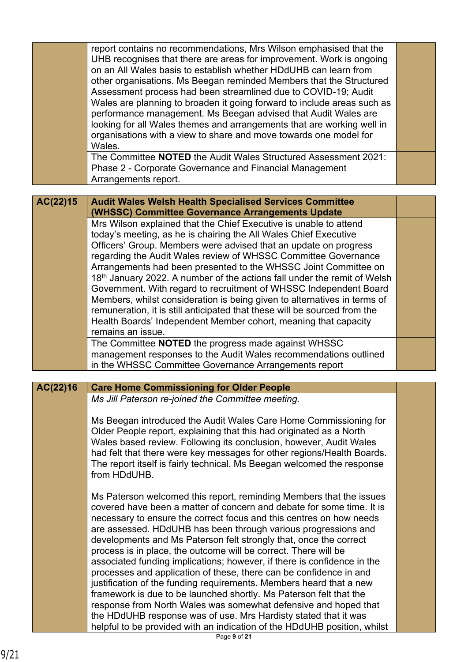|          | report contains no recommendations, Mrs Wilson emphasised that the<br>UHB recognises that there are areas for improvement. Work is ongoing   |  |
|----------|----------------------------------------------------------------------------------------------------------------------------------------------|--|
|          | on an All Wales basis to establish whether HDdUHB can learn from                                                                             |  |
|          | other organisations. Ms Beegan reminded Members that the Structured                                                                          |  |
|          | Assessment process had been streamlined due to COVID-19; Audit                                                                               |  |
|          | Wales are planning to broaden it going forward to include areas such as                                                                      |  |
|          | performance management. Ms Beegan advised that Audit Wales are                                                                               |  |
|          | looking for all Wales themes and arrangements that are working well in                                                                       |  |
|          | organisations with a view to share and move towards one model for                                                                            |  |
|          | Wales.<br>The Committee NOTED the Audit Wales Structured Assessment 2021:                                                                    |  |
|          |                                                                                                                                              |  |
|          | Phase 2 - Corporate Governance and Financial Management<br>Arrangements report.                                                              |  |
|          |                                                                                                                                              |  |
| AC(22)15 | <b>Audit Wales Welsh Health Specialised Services Committee</b>                                                                               |  |
|          | (WHSSC) Committee Governance Arrangements Update                                                                                             |  |
|          | Mrs Wilson explained that the Chief Executive is unable to attend                                                                            |  |
|          | today's meeting, as he is chairing the All Wales Chief Executive                                                                             |  |
|          | Officers' Group. Members were advised that an update on progress                                                                             |  |
|          | regarding the Audit Wales review of WHSSC Committee Governance                                                                               |  |
|          | Arrangements had been presented to the WHSSC Joint Committee on                                                                              |  |
|          | 18 <sup>th</sup> January 2022. A number of the actions fall under the remit of Welsh                                                         |  |
|          | Government. With regard to recruitment of WHSSC Independent Board                                                                            |  |
|          | Members, whilst consideration is being given to alternatives in terms of                                                                     |  |
|          | remuneration, it is still anticipated that these will be sourced from the<br>Health Boards' Independent Member cohort, meaning that capacity |  |
|          | remains an issue.                                                                                                                            |  |
|          | The Committee NOTED the progress made against WHSSC                                                                                          |  |
|          | management responses to the Audit Wales recommendations outlined                                                                             |  |
|          | in the WHSSC Committee Governance Arrangements report                                                                                        |  |
|          |                                                                                                                                              |  |
| AC(22)16 | <b>Care Home Commissioning for Older People</b>                                                                                              |  |
|          | Ms Jill Paterson re-joined the Committee meeting.                                                                                            |  |
|          |                                                                                                                                              |  |
|          | Ms Beegan introduced the Audit Wales Care Home Commissioning for                                                                             |  |
|          | Older People report, explaining that this had originated as a North<br>Wales based review. Following its conclusion, however, Audit Wales    |  |
|          | had felt that there were key messages for other regions/Health Boards.                                                                       |  |
|          | The report itself is fairly technical. Ms Beegan welcomed the response                                                                       |  |
|          | from HDdUHB.                                                                                                                                 |  |
|          |                                                                                                                                              |  |
|          | Ms Paterson welcomed this report, reminding Members that the issues                                                                          |  |
|          | covered have been a matter of concern and debate for some time. It is                                                                        |  |
|          | necessary to ensure the correct focus and this centres on how needs                                                                          |  |
|          | are assessed. HDdUHB has been through various progressions and                                                                               |  |
|          | developments and Ms Paterson felt strongly that, once the correct                                                                            |  |
|          | process is in place, the outcome will be correct. There will be<br>associated funding implications; however, if there is confidence in the   |  |
|          | processes and application of these, there can be confidence in and                                                                           |  |
|          | justification of the funding requirements. Members heard that a new                                                                          |  |
|          | framework is due to be launched shortly. Ms Paterson felt that the                                                                           |  |
|          | response from North Wales was somewhat defensive and hoped that                                                                              |  |
|          | the HDdUHB response was of use. Mrs Hardisty stated that it was                                                                              |  |
|          | helpful to be provided with an indication of the HDdUHB position, whilst                                                                     |  |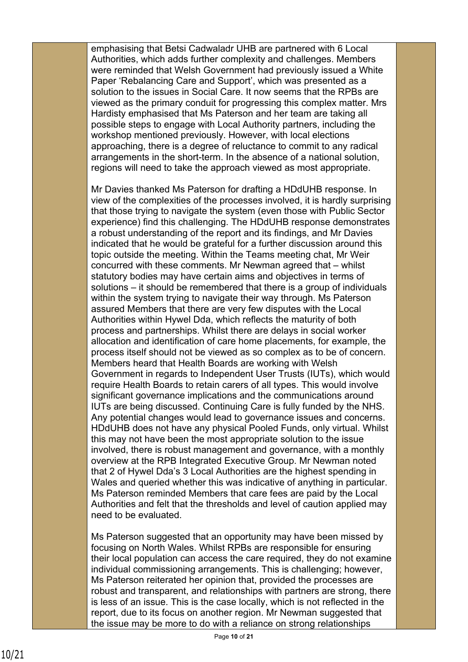emphasising that Betsi Cadwaladr UHB are partnered with 6 Local Authorities, which adds further complexity and challenges. Members were reminded that Welsh Government had previously issued a White Paper 'Rebalancing Care and Support', which was presented as a solution to the issues in Social Care. It now seems that the RPBs are viewed as the primary conduit for progressing this complex matter. Mrs Hardisty emphasised that Ms Paterson and her team are taking all possible steps to engage with Local Authority partners, including the workshop mentioned previously. However, with local elections approaching, there is a degree of reluctance to commit to any radical arrangements in the short-term. In the absence of a national solution, regions will need to take the approach viewed as most appropriate.

Mr Davies thanked Ms Paterson for drafting a HDdUHB response. In view of the complexities of the processes involved, it is hardly surprising that those trying to navigate the system (even those with Public Sector experience) find this challenging. The HDdUHB response demonstrates a robust understanding of the report and its findings, and Mr Davies indicated that he would be grateful for a further discussion around this topic outside the meeting. Within the Teams meeting chat, Mr Weir concurred with these comments. Mr Newman agreed that – whilst statutory bodies may have certain aims and objectives in terms of solutions – it should be remembered that there is a group of individuals within the system trying to navigate their way through. Ms Paterson assured Members that there are very few disputes with the Local Authorities within Hywel Dda, which reflects the maturity of both process and partnerships. Whilst there are delays in social worker allocation and identification of care home placements, for example, the process itself should not be viewed as so complex as to be of concern. Members heard that Health Boards are working with Welsh Government in regards to Independent User Trusts (IUTs), which would require Health Boards to retain carers of all types. This would involve significant governance implications and the communications around IUTs are being discussed. Continuing Care is fully funded by the NHS. Any potential changes would lead to governance issues and concerns. HDdUHB does not have any physical Pooled Funds, only virtual. Whilst this may not have been the most appropriate solution to the issue involved, there is robust management and governance, with a monthly overview at the RPB Integrated Executive Group. Mr Newman noted that 2 of Hywel Dda's 3 Local Authorities are the highest spending in Wales and queried whether this was indicative of anything in particular. Ms Paterson reminded Members that care fees are paid by the Local Authorities and felt that the thresholds and level of caution applied may need to be evaluated.

Ms Paterson suggested that an opportunity may have been missed by focusing on North Wales. Whilst RPBs are responsible for ensuring their local population can access the care required, they do not examine individual commissioning arrangements. This is challenging; however, Ms Paterson reiterated her opinion that, provided the processes are robust and transparent, and relationships with partners are strong, there is less of an issue. This is the case locally, which is not reflected in the report, due to its focus on another region. Mr Newman suggested that the issue may be more to do with a reliance on strong relationships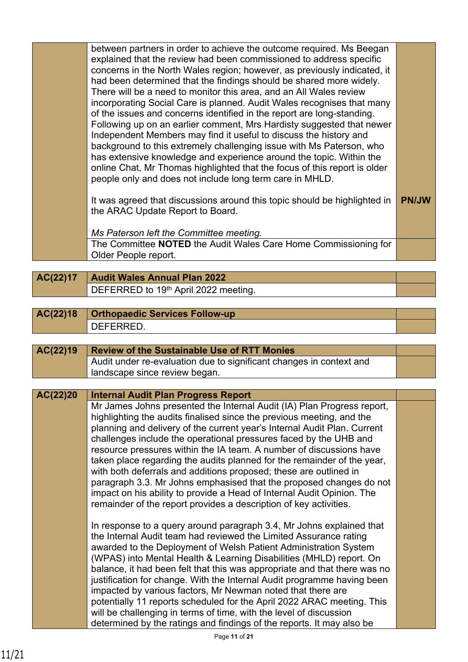| between partners in order to achieve the outcome required. Ms Beegan<br>explained that the review had been commissioned to address specific<br>concerns in the North Wales region; however, as previously indicated, it<br>had been determined that the findings should be shared more widely.<br>There will be a need to monitor this area, and an All Wales review<br>incorporating Social Care is planned. Audit Wales recognises that many<br>of the issues and concerns identified in the report are long-standing.<br>Following up on an earlier comment, Mrs Hardisty suggested that newer<br>Independent Members may find it useful to discuss the history and<br>background to this extremely challenging issue with Ms Paterson, who<br>has extensive knowledge and experience around the topic. Within the<br>online Chat, Mr Thomas highlighted that the focus of this report is older<br>people only and does not include long term care in MHLD. |              |
|----------------------------------------------------------------------------------------------------------------------------------------------------------------------------------------------------------------------------------------------------------------------------------------------------------------------------------------------------------------------------------------------------------------------------------------------------------------------------------------------------------------------------------------------------------------------------------------------------------------------------------------------------------------------------------------------------------------------------------------------------------------------------------------------------------------------------------------------------------------------------------------------------------------------------------------------------------------|--------------|
| It was agreed that discussions around this topic should be highlighted in<br>the ARAC Update Report to Board.<br>Ms Paterson left the Committee meeting.                                                                                                                                                                                                                                                                                                                                                                                                                                                                                                                                                                                                                                                                                                                                                                                                       | <b>PN/JW</b> |
| The Committee NOTED the Audit Wales Care Home Commissioning for<br>Older People report.                                                                                                                                                                                                                                                                                                                                                                                                                                                                                                                                                                                                                                                                                                                                                                                                                                                                        |              |
|                                                                                                                                                                                                                                                                                                                                                                                                                                                                                                                                                                                                                                                                                                                                                                                                                                                                                                                                                                |              |

- **AC(22)17 Audit Wales Annual Plan 2022** DEFERRED to 19<sup>th</sup> April 2022 meeting.
- **AC(22)18 Orthopaedic Services Follow-up** DEFERRED.

| AC(22)19 | <b>Review of the Sustainable Use of RTT Monies</b>                  |  |
|----------|---------------------------------------------------------------------|--|
|          | Audit under re-evaluation due to significant changes in context and |  |
|          | landscape since review began.                                       |  |

| AC(22)20 | <b>Internal Audit Plan Progress Report</b>                                                                                                                                                                                                                                                                                                                                                                                                                                                                                                                                                                                                                                                                                                    |  |
|----------|-----------------------------------------------------------------------------------------------------------------------------------------------------------------------------------------------------------------------------------------------------------------------------------------------------------------------------------------------------------------------------------------------------------------------------------------------------------------------------------------------------------------------------------------------------------------------------------------------------------------------------------------------------------------------------------------------------------------------------------------------|--|
|          | Mr James Johns presented the Internal Audit (IA) Plan Progress report,<br>highlighting the audits finalised since the previous meeting, and the<br>planning and delivery of the current year's Internal Audit Plan. Current<br>challenges include the operational pressures faced by the UHB and<br>resource pressures within the IA team. A number of discussions have<br>taken place regarding the audits planned for the remainder of the year,<br>with both deferrals and additions proposed; these are outlined in<br>paragraph 3.3. Mr Johns emphasised that the proposed changes do not<br>impact on his ability to provide a Head of Internal Audit Opinion. The<br>remainder of the report provides a description of key activities. |  |
|          | In response to a query around paragraph 3.4, Mr Johns explained that<br>the Internal Audit team had reviewed the Limited Assurance rating<br>awarded to the Deployment of Welsh Patient Administration System<br>(WPAS) into Mental Health & Learning Disabilities (MHLD) report. On<br>balance, it had been felt that this was appropriate and that there was no<br>justification for change. With the Internal Audit programme having been<br>impacted by various factors, Mr Newman noted that there are<br>potentially 11 reports scheduled for the April 2022 ARAC meeting. This<br>will be challenging in terms of time, with the level of discussion<br>determined by the ratings and findings of the reports. It may also be          |  |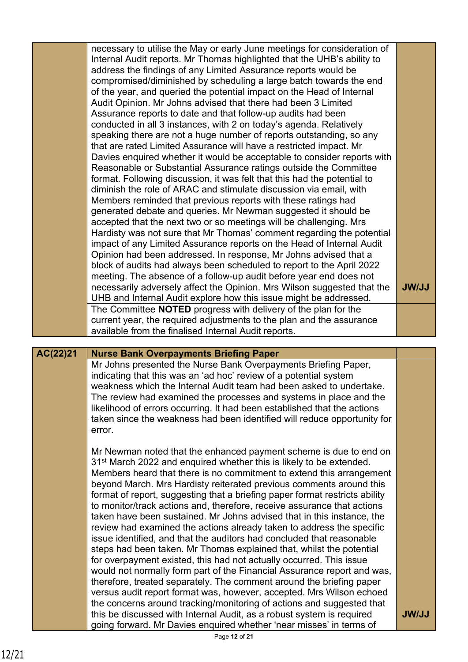|          | necessary to utilise the May or early June meetings for consideration of<br>Internal Audit reports. Mr Thomas highlighted that the UHB's ability to<br>address the findings of any Limited Assurance reports would be<br>compromised/diminished by scheduling a large batch towards the end<br>of the year, and queried the potential impact on the Head of Internal<br>Audit Opinion. Mr Johns advised that there had been 3 Limited<br>Assurance reports to date and that follow-up audits had been<br>conducted in all 3 instances, with 2 on today's agenda. Relatively<br>speaking there are not a huge number of reports outstanding, so any<br>that are rated Limited Assurance will have a restricted impact. Mr<br>Davies enquired whether it would be acceptable to consider reports with<br>Reasonable or Substantial Assurance ratings outside the Committee<br>format. Following discussion, it was felt that this had the potential to |              |
|----------|------------------------------------------------------------------------------------------------------------------------------------------------------------------------------------------------------------------------------------------------------------------------------------------------------------------------------------------------------------------------------------------------------------------------------------------------------------------------------------------------------------------------------------------------------------------------------------------------------------------------------------------------------------------------------------------------------------------------------------------------------------------------------------------------------------------------------------------------------------------------------------------------------------------------------------------------------|--------------|
|          | diminish the role of ARAC and stimulate discussion via email, with<br>Members reminded that previous reports with these ratings had                                                                                                                                                                                                                                                                                                                                                                                                                                                                                                                                                                                                                                                                                                                                                                                                                  |              |
|          | generated debate and queries. Mr Newman suggested it should be<br>accepted that the next two or so meetings will be challenging. Mrs                                                                                                                                                                                                                                                                                                                                                                                                                                                                                                                                                                                                                                                                                                                                                                                                                 |              |
|          | Hardisty was not sure that Mr Thomas' comment regarding the potential<br>impact of any Limited Assurance reports on the Head of Internal Audit                                                                                                                                                                                                                                                                                                                                                                                                                                                                                                                                                                                                                                                                                                                                                                                                       |              |
|          | Opinion had been addressed. In response, Mr Johns advised that a                                                                                                                                                                                                                                                                                                                                                                                                                                                                                                                                                                                                                                                                                                                                                                                                                                                                                     |              |
|          | block of audits had always been scheduled to report to the April 2022<br>meeting. The absence of a follow-up audit before year end does not                                                                                                                                                                                                                                                                                                                                                                                                                                                                                                                                                                                                                                                                                                                                                                                                          |              |
|          | necessarily adversely affect the Opinion. Mrs Wilson suggested that the<br>UHB and Internal Audit explore how this issue might be addressed.                                                                                                                                                                                                                                                                                                                                                                                                                                                                                                                                                                                                                                                                                                                                                                                                         | <b>JW/JJ</b> |
|          | The Committee NOTED progress with delivery of the plan for the<br>current year, the required adjustments to the plan and the assurance                                                                                                                                                                                                                                                                                                                                                                                                                                                                                                                                                                                                                                                                                                                                                                                                               |              |
|          | available from the finalised Internal Audit reports.                                                                                                                                                                                                                                                                                                                                                                                                                                                                                                                                                                                                                                                                                                                                                                                                                                                                                                 |              |
|          |                                                                                                                                                                                                                                                                                                                                                                                                                                                                                                                                                                                                                                                                                                                                                                                                                                                                                                                                                      |              |
| AC(22)21 | <b>Nurse Bank Overpayments Briefing Paper</b>                                                                                                                                                                                                                                                                                                                                                                                                                                                                                                                                                                                                                                                                                                                                                                                                                                                                                                        |              |
|          | Mr Johns presented the Nurse Bank Overpayments Briefing Paper,                                                                                                                                                                                                                                                                                                                                                                                                                                                                                                                                                                                                                                                                                                                                                                                                                                                                                       |              |
|          | indicating that this was an 'ad hoc' review of a potential system<br>weakness which the Internal Audit team had been asked to undertake.                                                                                                                                                                                                                                                                                                                                                                                                                                                                                                                                                                                                                                                                                                                                                                                                             |              |
|          | The review had examined the processes and systems in place and the<br>likelihood of errors occurring. It had been established that the actions                                                                                                                                                                                                                                                                                                                                                                                                                                                                                                                                                                                                                                                                                                                                                                                                       |              |
|          | taken since the weakness had been identified will reduce opportunity for<br>error.                                                                                                                                                                                                                                                                                                                                                                                                                                                                                                                                                                                                                                                                                                                                                                                                                                                                   |              |
|          | Mr Newman noted that the enhanced payment scheme is due to end on<br>31 <sup>st</sup> March 2022 and enquired whether this is likely to be extended.<br>Members heard that there is no commitment to extend this arrangement                                                                                                                                                                                                                                                                                                                                                                                                                                                                                                                                                                                                                                                                                                                         |              |
|          | beyond March. Mrs Hardisty reiterated previous comments around this<br>format of report, suggesting that a briefing paper format restricts ability                                                                                                                                                                                                                                                                                                                                                                                                                                                                                                                                                                                                                                                                                                                                                                                                   |              |
|          | to monitor/track actions and, therefore, receive assurance that actions<br>taken have been sustained. Mr Johns advised that in this instance, the                                                                                                                                                                                                                                                                                                                                                                                                                                                                                                                                                                                                                                                                                                                                                                                                    |              |
|          | review had examined the actions already taken to address the specific                                                                                                                                                                                                                                                                                                                                                                                                                                                                                                                                                                                                                                                                                                                                                                                                                                                                                |              |
|          | issue identified, and that the auditors had concluded that reasonable<br>steps had been taken. Mr Thomas explained that, whilst the potential                                                                                                                                                                                                                                                                                                                                                                                                                                                                                                                                                                                                                                                                                                                                                                                                        |              |
|          | for overpayment existed, this had not actually occurred. This issue<br>would not normally form part of the Financial Assurance report and was,                                                                                                                                                                                                                                                                                                                                                                                                                                                                                                                                                                                                                                                                                                                                                                                                       |              |
|          | therefore, treated separately. The comment around the briefing paper                                                                                                                                                                                                                                                                                                                                                                                                                                                                                                                                                                                                                                                                                                                                                                                                                                                                                 |              |
|          | versus audit report format was, however, accepted. Mrs Wilson echoed<br>the concerns around tracking/monitoring of actions and suggested that<br>this be discussed with Internal Audit, as a robust system is required                                                                                                                                                                                                                                                                                                                                                                                                                                                                                                                                                                                                                                                                                                                               | <b>JW/JJ</b> |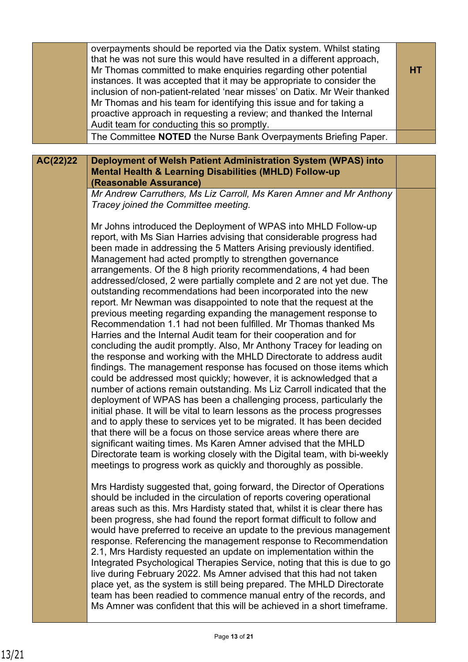|          | overpayments should be reported via the Datix system. Whilst stating<br>that he was not sure this would have resulted in a different approach,<br>Mr Thomas committed to make enquiries regarding other potential<br>instances. It was accepted that it may be appropriate to consider the<br>inclusion of non-patient-related 'near misses' on Datix. Mr Weir thanked<br>Mr Thomas and his team for identifying this issue and for taking a<br>proactive approach in requesting a review; and thanked the Internal<br>Audit team for conducting this so promptly.<br>The Committee NOTED the Nurse Bank Overpayments Briefing Paper.                                                                                                                                                                                                                                                                                                                                                                                                                                                                                                                                                                                                                                                                                                                                                                                                                                                                                                                                                                                                                                     | <b>HT</b> |
|----------|---------------------------------------------------------------------------------------------------------------------------------------------------------------------------------------------------------------------------------------------------------------------------------------------------------------------------------------------------------------------------------------------------------------------------------------------------------------------------------------------------------------------------------------------------------------------------------------------------------------------------------------------------------------------------------------------------------------------------------------------------------------------------------------------------------------------------------------------------------------------------------------------------------------------------------------------------------------------------------------------------------------------------------------------------------------------------------------------------------------------------------------------------------------------------------------------------------------------------------------------------------------------------------------------------------------------------------------------------------------------------------------------------------------------------------------------------------------------------------------------------------------------------------------------------------------------------------------------------------------------------------------------------------------------------|-----------|
|          |                                                                                                                                                                                                                                                                                                                                                                                                                                                                                                                                                                                                                                                                                                                                                                                                                                                                                                                                                                                                                                                                                                                                                                                                                                                                                                                                                                                                                                                                                                                                                                                                                                                                           |           |
| AC(22)22 | Deployment of Welsh Patient Administration System (WPAS) into<br><b>Mental Health &amp; Learning Disabilities (MHLD) Follow-up</b><br>(Reasonable Assurance)                                                                                                                                                                                                                                                                                                                                                                                                                                                                                                                                                                                                                                                                                                                                                                                                                                                                                                                                                                                                                                                                                                                                                                                                                                                                                                                                                                                                                                                                                                              |           |
|          | Mr Andrew Carruthers, Ms Liz Carroll, Ms Karen Amner and Mr Anthony<br>Tracey joined the Committee meeting.                                                                                                                                                                                                                                                                                                                                                                                                                                                                                                                                                                                                                                                                                                                                                                                                                                                                                                                                                                                                                                                                                                                                                                                                                                                                                                                                                                                                                                                                                                                                                               |           |
|          | Mr Johns introduced the Deployment of WPAS into MHLD Follow-up<br>report, with Ms Sian Harries advising that considerable progress had<br>been made in addressing the 5 Matters Arising previously identified.<br>Management had acted promptly to strengthen governance<br>arrangements. Of the 8 high priority recommendations, 4 had been<br>addressed/closed, 2 were partially complete and 2 are not yet due. The<br>outstanding recommendations had been incorporated into the new<br>report. Mr Newman was disappointed to note that the request at the<br>previous meeting regarding expanding the management response to<br>Recommendation 1.1 had not been fulfilled. Mr Thomas thanked Ms<br>Harries and the Internal Audit team for their cooperation and for<br>concluding the audit promptly. Also, Mr Anthony Tracey for leading on<br>the response and working with the MHLD Directorate to address audit<br>findings. The management response has focused on those items which<br>could be addressed most quickly; however, it is acknowledged that a<br>number of actions remain outstanding. Ms Liz Carroll indicated that the<br>deployment of WPAS has been a challenging process, particularly the<br>initial phase. It will be vital to learn lessons as the process progresses<br>and to apply these to services yet to be migrated. It has been decided<br>that there will be a focus on those service areas where there are<br>significant waiting times. Ms Karen Amner advised that the MHLD<br>Directorate team is working closely with the Digital team, with bi-weekly<br>meetings to progress work as quickly and thoroughly as possible. |           |
|          | Mrs Hardisty suggested that, going forward, the Director of Operations<br>should be included in the circulation of reports covering operational<br>areas such as this. Mrs Hardisty stated that, whilst it is clear there has<br>been progress, she had found the report format difficult to follow and<br>would have preferred to receive an update to the previous management<br>response. Referencing the management response to Recommendation<br>2.1, Mrs Hardisty requested an update on implementation within the<br>Integrated Psychological Therapies Service, noting that this is due to go<br>live during February 2022. Ms Amner advised that this had not taken<br>place yet, as the system is still being prepared. The MHLD Directorate<br>team has been readied to commence manual entry of the records, and<br>Ms Amner was confident that this will be achieved in a short timeframe.                                                                                                                                                                                                                                                                                                                                                                                                                                                                                                                                                                                                                                                                                                                                                                   |           |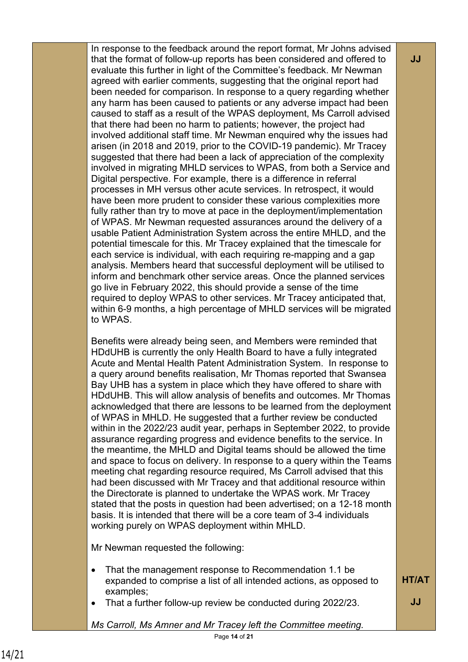In response to the feedback around the report format, Mr Johns advised that the format of follow-up reports has been considered and offered to evaluate this further in light of the Committee's feedback. Mr Newman agreed with earlier comments, suggesting that the original report had been needed for comparison. In response to a query regarding whether any harm has been caused to patients or any adverse impact had been caused to staff as a result of the WPAS deployment, Ms Carroll advised that there had been no harm to patients; however, the project had involved additional staff time. Mr Newman enquired why the issues had arisen (in 2018 and 2019, prior to the COVID-19 pandemic). Mr Tracey suggested that there had been a lack of appreciation of the complexity involved in migrating MHLD services to WPAS, from both a Service and Digital perspective. For example, there is a difference in referral processes in MH versus other acute services. In retrospect, it would have been more prudent to consider these various complexities more fully rather than try to move at pace in the deployment/implementation of WPAS. Mr Newman requested assurances around the delivery of a usable Patient Administration System across the entire MHLD, and the potential timescale for this. Mr Tracey explained that the timescale for each service is individual, with each requiring re-mapping and a gap analysis. Members heard that successful deployment will be utilised to inform and benchmark other service areas. Once the planned services go live in February 2022, this should provide a sense of the time required to deploy WPAS to other services. Mr Tracey anticipated that, within 6-9 months, a high percentage of MHLD services will be migrated to WPAS.

Benefits were already being seen, and Members were reminded that HDdUHB is currently the only Health Board to have a fully integrated Acute and Mental Health Patent Administration System. In response to a query around benefits realisation, Mr Thomas reported that Swansea Bay UHB has a system in place which they have offered to share with HDdUHB. This will allow analysis of benefits and outcomes. Mr Thomas acknowledged that there are lessons to be learned from the deployment of WPAS in MHLD. He suggested that a further review be conducted within in the 2022/23 audit year, perhaps in September 2022, to provide assurance regarding progress and evidence benefits to the service. In the meantime, the MHLD and Digital teams should be allowed the time and space to focus on delivery. In response to a query within the Teams meeting chat regarding resource required, Ms Carroll advised that this had been discussed with Mr Tracey and that additional resource within the Directorate is planned to undertake the WPAS work. Mr Tracey stated that the posts in question had been advertised; on a 12-18 month basis. It is intended that there will be a core team of 3-4 individuals working purely on WPAS deployment within MHLD.

Mr Newman requested the following:

- That the management response to Recommendation 1.1 be expanded to comprise a list of all intended actions, as opposed to examples; **HT/AT**
- That a further follow-up review be conducted during 2022/23.

*Ms Carroll, Ms Amner and Mr Tracey left the Committee meeting.*

**JJ**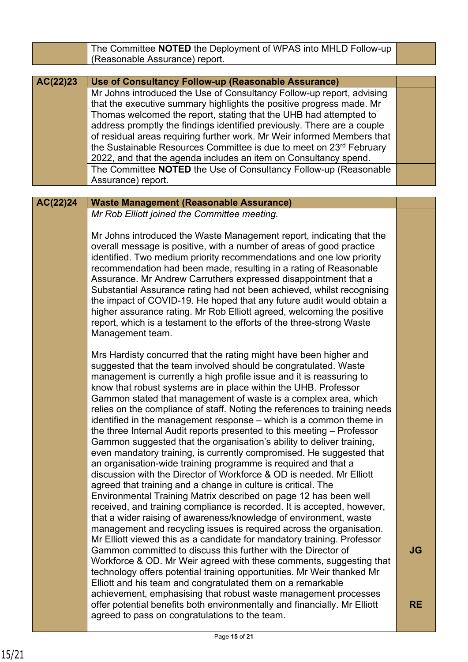|          | The Committee NOTED the Deployment of WPAS into MHLD Follow-up                                                                          |           |
|----------|-----------------------------------------------------------------------------------------------------------------------------------------|-----------|
|          | (Reasonable Assurance) report.                                                                                                          |           |
|          |                                                                                                                                         |           |
| AC(22)23 | Use of Consultancy Follow-up (Reasonable Assurance)                                                                                     |           |
|          | Mr Johns introduced the Use of Consultancy Follow-up report, advising                                                                   |           |
|          | that the executive summary highlights the positive progress made. Mr                                                                    |           |
|          | Thomas welcomed the report, stating that the UHB had attempted to                                                                       |           |
|          | address promptly the findings identified previously. There are a couple                                                                 |           |
|          | of residual areas requiring further work. Mr Weir informed Members that                                                                 |           |
|          | the Sustainable Resources Committee is due to meet on 23rd February                                                                     |           |
|          | 2022, and that the agenda includes an item on Consultancy spend.<br>The Committee NOTED the Use of Consultancy Follow-up (Reasonable    |           |
|          | Assurance) report.                                                                                                                      |           |
|          |                                                                                                                                         |           |
| AC(22)24 | <b>Waste Management (Reasonable Assurance)</b>                                                                                          |           |
|          | Mr Rob Elliott joined the Committee meeting.                                                                                            |           |
|          |                                                                                                                                         |           |
|          | Mr Johns introduced the Waste Management report, indicating that the                                                                    |           |
|          | overall message is positive, with a number of areas of good practice                                                                    |           |
|          | identified. Two medium priority recommendations and one low priority                                                                    |           |
|          | recommendation had been made, resulting in a rating of Reasonable                                                                       |           |
|          | Assurance. Mr Andrew Carruthers expressed disappointment that a                                                                         |           |
|          | Substantial Assurance rating had not been achieved, whilst recognising                                                                  |           |
|          | the impact of COVID-19. He hoped that any future audit would obtain a                                                                   |           |
|          | higher assurance rating. Mr Rob Elliott agreed, welcoming the positive                                                                  |           |
|          | report, which is a testament to the efforts of the three-strong Waste                                                                   |           |
|          | Management team.                                                                                                                        |           |
|          |                                                                                                                                         |           |
|          | Mrs Hardisty concurred that the rating might have been higher and                                                                       |           |
|          | suggested that the team involved should be congratulated. Waste                                                                         |           |
|          | management is currently a high profile issue and it is reassuring to<br>know that robust systems are in place within the UHB. Professor |           |
|          | Gammon stated that management of waste is a complex area, which                                                                         |           |
|          | relies on the compliance of staff. Noting the references to training needs                                                              |           |
|          | identified in the management response – which is a common theme in                                                                      |           |
|          | the three Internal Audit reports presented to this meeting - Professor                                                                  |           |
|          | Gammon suggested that the organisation's ability to deliver training,                                                                   |           |
|          | even mandatory training, is currently compromised. He suggested that                                                                    |           |
|          | an organisation-wide training programme is required and that a                                                                          |           |
|          | discussion with the Director of Workforce & OD is needed. Mr Elliott                                                                    |           |
|          | agreed that training and a change in culture is critical. The                                                                           |           |
|          | Environmental Training Matrix described on page 12 has been well                                                                        |           |
|          | received, and training compliance is recorded. It is accepted, however,                                                                 |           |
|          | that a wider raising of awareness/knowledge of environment, waste                                                                       |           |
|          | management and recycling issues is required across the organisation.                                                                    |           |
|          | Mr Elliott viewed this as a candidate for mandatory training. Professor                                                                 |           |
|          | Gammon committed to discuss this further with the Director of                                                                           | JG        |
|          | Workforce & OD. Mr Weir agreed with these comments, suggesting that                                                                     |           |
|          | technology offers potential training opportunities. Mr Weir thanked Mr                                                                  |           |
|          | Elliott and his team and congratulated them on a remarkable                                                                             |           |
|          | achievement, emphasising that robust waste management processes                                                                         |           |
|          | offer potential benefits both environmentally and financially. Mr Elliott                                                               | <b>RE</b> |
|          | agreed to pass on congratulations to the team.                                                                                          |           |
|          |                                                                                                                                         |           |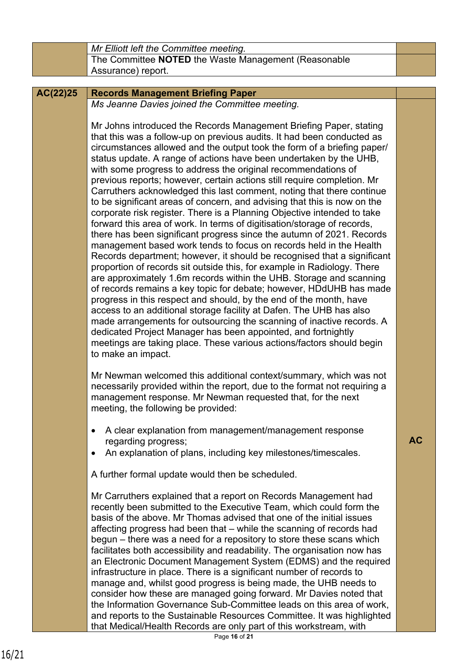|          | Mr Elliott left the Committee meeting.                                                                                                                                                                                                                                                                                                                                                                                                                                                                                                                                                                                                                                                                                                                                                                                                                                                                                                                                                                                                                                                                                                                                                                                                                                                                                                                                                                                                                                                                                                                                                        |           |
|----------|-----------------------------------------------------------------------------------------------------------------------------------------------------------------------------------------------------------------------------------------------------------------------------------------------------------------------------------------------------------------------------------------------------------------------------------------------------------------------------------------------------------------------------------------------------------------------------------------------------------------------------------------------------------------------------------------------------------------------------------------------------------------------------------------------------------------------------------------------------------------------------------------------------------------------------------------------------------------------------------------------------------------------------------------------------------------------------------------------------------------------------------------------------------------------------------------------------------------------------------------------------------------------------------------------------------------------------------------------------------------------------------------------------------------------------------------------------------------------------------------------------------------------------------------------------------------------------------------------|-----------|
|          | The Committee NOTED the Waste Management (Reasonable                                                                                                                                                                                                                                                                                                                                                                                                                                                                                                                                                                                                                                                                                                                                                                                                                                                                                                                                                                                                                                                                                                                                                                                                                                                                                                                                                                                                                                                                                                                                          |           |
|          | Assurance) report.                                                                                                                                                                                                                                                                                                                                                                                                                                                                                                                                                                                                                                                                                                                                                                                                                                                                                                                                                                                                                                                                                                                                                                                                                                                                                                                                                                                                                                                                                                                                                                            |           |
|          |                                                                                                                                                                                                                                                                                                                                                                                                                                                                                                                                                                                                                                                                                                                                                                                                                                                                                                                                                                                                                                                                                                                                                                                                                                                                                                                                                                                                                                                                                                                                                                                               |           |
| AC(22)25 | <b>Records Management Briefing Paper</b>                                                                                                                                                                                                                                                                                                                                                                                                                                                                                                                                                                                                                                                                                                                                                                                                                                                                                                                                                                                                                                                                                                                                                                                                                                                                                                                                                                                                                                                                                                                                                      |           |
|          | Ms Jeanne Davies joined the Committee meeting.                                                                                                                                                                                                                                                                                                                                                                                                                                                                                                                                                                                                                                                                                                                                                                                                                                                                                                                                                                                                                                                                                                                                                                                                                                                                                                                                                                                                                                                                                                                                                |           |
|          | Mr Johns introduced the Records Management Briefing Paper, stating<br>that this was a follow-up on previous audits. It had been conducted as<br>circumstances allowed and the output took the form of a briefing paper/<br>status update. A range of actions have been undertaken by the UHB,<br>with some progress to address the original recommendations of<br>previous reports; however, certain actions still require completion. Mr<br>Carruthers acknowledged this last comment, noting that there continue<br>to be significant areas of concern, and advising that this is now on the<br>corporate risk register. There is a Planning Objective intended to take<br>forward this area of work. In terms of digitisation/storage of records,<br>there has been significant progress since the autumn of 2021. Records<br>management based work tends to focus on records held in the Health<br>Records department; however, it should be recognised that a significant<br>proportion of records sit outside this, for example in Radiology. There<br>are approximately 1.6m records within the UHB. Storage and scanning<br>of records remains a key topic for debate; however, HDdUHB has made<br>progress in this respect and should, by the end of the month, have<br>access to an additional storage facility at Dafen. The UHB has also<br>made arrangements for outsourcing the scanning of inactive records. A<br>dedicated Project Manager has been appointed, and fortnightly<br>meetings are taking place. These various actions/factors should begin<br>to make an impact. |           |
|          | Mr Newman welcomed this additional context/summary, which was not<br>necessarily provided within the report, due to the format not requiring a<br>management response. Mr Newman requested that, for the next<br>meeting, the following be provided:                                                                                                                                                                                                                                                                                                                                                                                                                                                                                                                                                                                                                                                                                                                                                                                                                                                                                                                                                                                                                                                                                                                                                                                                                                                                                                                                          |           |
|          | A clear explanation from management/management response<br>$\bullet$<br>regarding progress;<br>An explanation of plans, including key milestones/timescales.                                                                                                                                                                                                                                                                                                                                                                                                                                                                                                                                                                                                                                                                                                                                                                                                                                                                                                                                                                                                                                                                                                                                                                                                                                                                                                                                                                                                                                  | <b>AC</b> |
|          | A further formal update would then be scheduled.                                                                                                                                                                                                                                                                                                                                                                                                                                                                                                                                                                                                                                                                                                                                                                                                                                                                                                                                                                                                                                                                                                                                                                                                                                                                                                                                                                                                                                                                                                                                              |           |
|          | Mr Carruthers explained that a report on Records Management had<br>recently been submitted to the Executive Team, which could form the<br>basis of the above. Mr Thomas advised that one of the initial issues<br>affecting progress had been that - while the scanning of records had<br>begun – there was a need for a repository to store these scans which<br>facilitates both accessibility and readability. The organisation now has<br>an Electronic Document Management System (EDMS) and the required<br>infrastructure in place. There is a significant number of records to<br>manage and, whilst good progress is being made, the UHB needs to<br>consider how these are managed going forward. Mr Davies noted that<br>the Information Governance Sub-Committee leads on this area of work,<br>and reports to the Sustainable Resources Committee. It was highlighted<br>that Medical/Health Records are only part of this workstream, with                                                                                                                                                                                                                                                                                                                                                                                                                                                                                                                                                                                                                                      |           |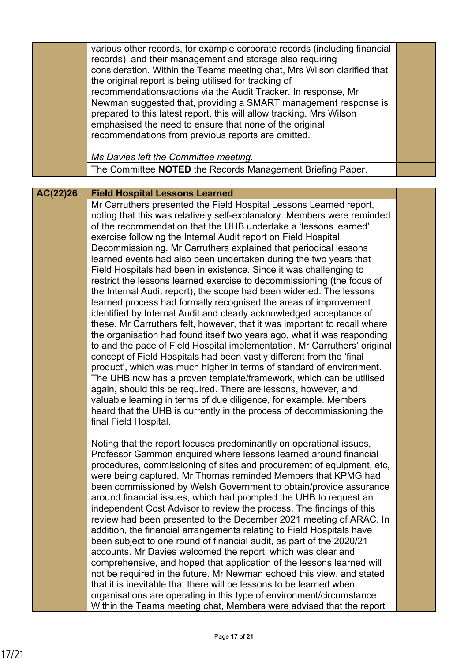|          | various other records, for example corporate records (including financial<br>records), and their management and storage also requiring<br>consideration. Within the Teams meeting chat, Mrs Wilson clarified that<br>the original report is being utilised for tracking of<br>recommendations/actions via the Audit Tracker. In response, Mr<br>Newman suggested that, providing a SMART management response is<br>prepared to this latest report, this will allow tracking. Mrs Wilson<br>emphasised the need to ensure that none of the original<br>recommendations from previous reports are omitted.<br>Ms Davies left the Committee meeting.                                                                                                                                                                                                                                                                                                                                                                                                                                                                                                                                                                                                                                                                                                                                                                                                                                                                                            |  |
|----------|----------------------------------------------------------------------------------------------------------------------------------------------------------------------------------------------------------------------------------------------------------------------------------------------------------------------------------------------------------------------------------------------------------------------------------------------------------------------------------------------------------------------------------------------------------------------------------------------------------------------------------------------------------------------------------------------------------------------------------------------------------------------------------------------------------------------------------------------------------------------------------------------------------------------------------------------------------------------------------------------------------------------------------------------------------------------------------------------------------------------------------------------------------------------------------------------------------------------------------------------------------------------------------------------------------------------------------------------------------------------------------------------------------------------------------------------------------------------------------------------------------------------------------------------|--|
|          | The Committee NOTED the Records Management Briefing Paper.                                                                                                                                                                                                                                                                                                                                                                                                                                                                                                                                                                                                                                                                                                                                                                                                                                                                                                                                                                                                                                                                                                                                                                                                                                                                                                                                                                                                                                                                                   |  |
|          |                                                                                                                                                                                                                                                                                                                                                                                                                                                                                                                                                                                                                                                                                                                                                                                                                                                                                                                                                                                                                                                                                                                                                                                                                                                                                                                                                                                                                                                                                                                                              |  |
| AC(22)26 | <b>Field Hospital Lessons Learned</b><br>Mr Carruthers presented the Field Hospital Lessons Learned report,<br>noting that this was relatively self-explanatory. Members were reminded<br>of the recommendation that the UHB undertake a 'lessons learned'<br>exercise following the Internal Audit report on Field Hospital<br>Decommissioning. Mr Carruthers explained that periodical lessons<br>learned events had also been undertaken during the two years that<br>Field Hospitals had been in existence. Since it was challenging to<br>restrict the lessons learned exercise to decommissioning (the focus of<br>the Internal Audit report), the scope had been widened. The lessons<br>learned process had formally recognised the areas of improvement<br>identified by Internal Audit and clearly acknowledged acceptance of<br>these. Mr Carruthers felt, however, that it was important to recall where<br>the organisation had found itself two years ago, what it was responding<br>to and the pace of Field Hospital implementation. Mr Carruthers' original<br>concept of Field Hospitals had been vastly different from the 'final<br>product', which was much higher in terms of standard of environment.<br>The UHB now has a proven template/framework, which can be utilised<br>again, should this be required. There are lessons, however, and<br>valuable learning in terms of due diligence, for example. Members<br>heard that the UHB is currently in the process of decommissioning the<br>final Field Hospital. |  |
|          | Noting that the report focuses predominantly on operational issues,<br>Professor Gammon enquired where lessons learned around financial<br>procedures, commissioning of sites and procurement of equipment, etc,<br>were being captured. Mr Thomas reminded Members that KPMG had<br>been commissioned by Welsh Government to obtain/provide assurance<br>around financial issues, which had prompted the UHB to request an<br>independent Cost Advisor to review the process. The findings of this<br>review had been presented to the December 2021 meeting of ARAC. In<br>addition, the financial arrangements relating to Field Hospitals have<br>been subject to one round of financial audit, as part of the 2020/21<br>accounts. Mr Davies welcomed the report, which was clear and<br>comprehensive, and hoped that application of the lessons learned will<br>not be required in the future. Mr Newman echoed this view, and stated<br>that it is inevitable that there will be lessons to be learned when<br>organisations are operating in this type of environment/circumstance.<br>Within the Teams meeting chat, Members were advised that the report                                                                                                                                                                                                                                                                                                                                                                          |  |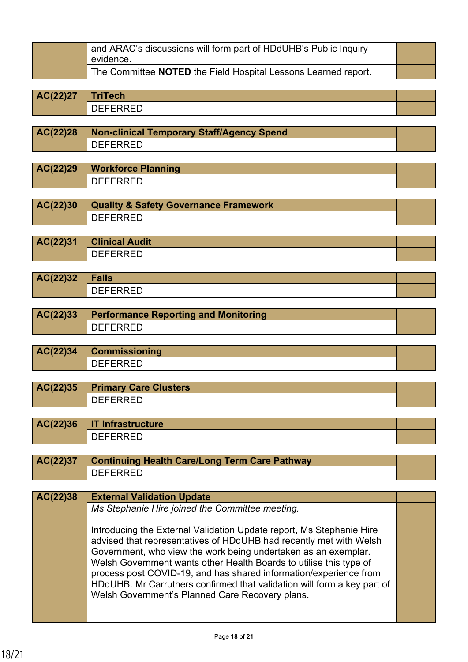| and ARAC's discussions will form part of HDdUHB's Public Inquiry<br>evidence. |  |
|-------------------------------------------------------------------------------|--|
| The Committee NOTED the Field Hospital Lessons Learned report.                |  |

**AC(22)27 TriTech** DEFERRED

**AC(22)28 Non-clinical Temporary Staff/Agency Spend** DEFERRED

**AC(22)29 Workforce Planning** DEFERRED

**AC(22)30 Quality & Safety Governance Framework** DEFERRED

**AC(22)31 Clinical Audit** DEFERRED

| AC(22)32 | Falls                            |  |
|----------|----------------------------------|--|
|          | .<br>ॱ⊢<br>;⊢⊢⊢₩<br>◡└<br>ᄔ<br>. |  |

| <b>AC(22)33</b> Performance Reporting and Monitoring |  |
|------------------------------------------------------|--|
| DEFERRED                                             |  |

| AC(22)34 | <b>Commissioning</b>        |  |
|----------|-----------------------------|--|
|          | <b>)トトトトレトー</b><br>◡└<br>-- |  |

| AC(22)35 Primary Care Clusters |  |
|--------------------------------|--|
| ገFFFRRFD                       |  |

| AC(22)36   IT Infrastructure |  |
|------------------------------|--|
| <b>JEFFRRED</b>              |  |

| AC(22)37   Continuing Health Care/Long Term Care Pathway |  |
|----------------------------------------------------------|--|
| DEFERRED                                                 |  |

## **AC(22)38 External Validation Update**

*Ms Stephanie Hire joined the Committee meeting.*

Introducing the External Validation Update report, Ms Stephanie Hire advised that representatives of HDdUHB had recently met with Welsh Government, who view the work being undertaken as an exemplar. Welsh Government wants other Health Boards to utilise this type of process post COVID-19, and has shared information/experience from HDdUHB. Mr Carruthers confirmed that validation will form a key part of Welsh Government's Planned Care Recovery plans.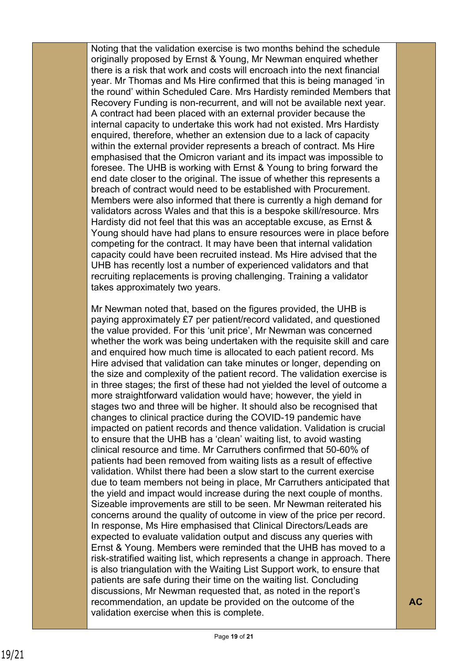Noting that the validation exercise is two months behind the schedule originally proposed by Ernst & Young, Mr Newman enquired whether there is a risk that work and costs will encroach into the next financial year. Mr Thomas and Ms Hire confirmed that this is being managed 'in the round' within Scheduled Care. Mrs Hardisty reminded Members that Recovery Funding is non-recurrent, and will not be available next year. A contract had been placed with an external provider because the internal capacity to undertake this work had not existed. Mrs Hardisty enquired, therefore, whether an extension due to a lack of capacity within the external provider represents a breach of contract. Ms Hire emphasised that the Omicron variant and its impact was impossible to foresee. The UHB is working with Ernst & Young to bring forward the end date closer to the original. The issue of whether this represents a breach of contract would need to be established with Procurement. Members were also informed that there is currently a high demand for validators across Wales and that this is a bespoke skill/resource. Mrs Hardisty did not feel that this was an acceptable excuse, as Ernst & Young should have had plans to ensure resources were in place before competing for the contract. It may have been that internal validation capacity could have been recruited instead. Ms Hire advised that the UHB has recently lost a number of experienced validators and that recruiting replacements is proving challenging. Training a validator takes approximately two years.

Mr Newman noted that, based on the figures provided, the UHB is paying approximately £7 per patient/record validated, and questioned the value provided. For this 'unit price', Mr Newman was concerned whether the work was being undertaken with the requisite skill and care and enquired how much time is allocated to each patient record. Ms Hire advised that validation can take minutes or longer, depending on the size and complexity of the patient record. The validation exercise is in three stages; the first of these had not yielded the level of outcome a more straightforward validation would have; however, the yield in stages two and three will be higher. It should also be recognised that changes to clinical practice during the COVID-19 pandemic have impacted on patient records and thence validation. Validation is crucial to ensure that the UHB has a 'clean' waiting list, to avoid wasting clinical resource and time. Mr Carruthers confirmed that 50-60% of patients had been removed from waiting lists as a result of effective validation. Whilst there had been a slow start to the current exercise due to team members not being in place, Mr Carruthers anticipated that the yield and impact would increase during the next couple of months. Sizeable improvements are still to be seen. Mr Newman reiterated his concerns around the quality of outcome in view of the price per record. In response, Ms Hire emphasised that Clinical Directors/Leads are expected to evaluate validation output and discuss any queries with Ernst & Young. Members were reminded that the UHB has moved to a risk-stratified waiting list, which represents a change in approach. There is also triangulation with the Waiting List Support work, to ensure that patients are safe during their time on the waiting list. Concluding discussions, Mr Newman requested that, as noted in the report's recommendation, an update be provided on the outcome of the validation exercise when this is complete.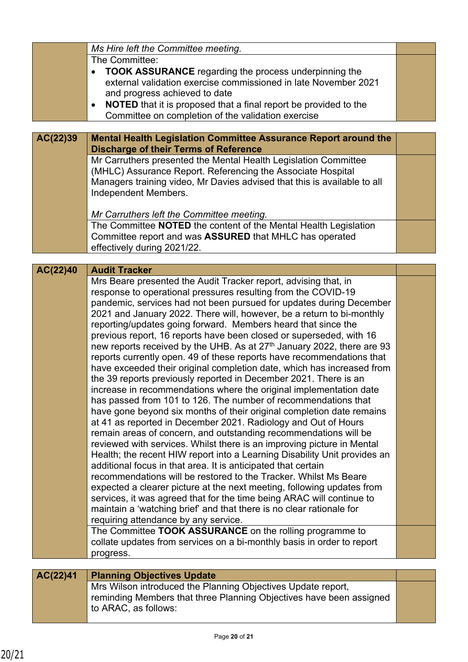|          | Ms Hire left the Committee meeting.                                                  |  |
|----------|--------------------------------------------------------------------------------------|--|
|          | The Committee:                                                                       |  |
|          | <b>TOOK ASSURANCE</b> regarding the process underpinning the                         |  |
|          | external validation exercise commissioned in late November 2021                      |  |
|          | and progress achieved to date                                                        |  |
|          | <b>NOTED</b> that it is proposed that a final report be provided to the<br>$\bullet$ |  |
|          | Committee on completion of the validation exercise                                   |  |
|          |                                                                                      |  |
| AC(22)39 | Mental Health Legislation Committee Assurance Report around the                      |  |
|          | <b>Discharge of their Terms of Reference</b>                                         |  |
|          | Mr Carruthers presented the Mental Health Legislation Committee                      |  |
|          | (MHLC) Assurance Report. Referencing the Associate Hospital                          |  |
|          | Managers training video, Mr Davies advised that this is available to all             |  |
|          | Independent Members.                                                                 |  |

*Mr Carruthers left the Committee meeting.*

The Committee **NOTED** the content of the Mental Health Legislation Committee report and was **ASSURED** that MHLC has operated effectively during 2021/22.

## **Audit Tracker** Mrs Beare presented the Audit Tracker report, advising that, in **AC(22)40**

response to operational pressures resulting from the COVID-19 pandemic, services had not been pursued for updates during December 2021 and January 2022. There will, however, be a return to bi-monthly reporting/updates going forward. Members heard that since the previous report, 16 reports have been closed or superseded, with 16 new reports received by the UHB. As at 27<sup>th</sup> January 2022, there are 93 reports currently open. 49 of these reports have recommendations that have exceeded their original completion date, which has increased from the 39 reports previously reported in December 2021. There is an increase in recommendations where the original implementation date has passed from 101 to 126. The number of recommendations that have gone beyond six months of their original completion date remains at 41 as reported in December 2021. Radiology and Out of Hours remain areas of concern, and outstanding recommendations will be reviewed with services. Whilst there is an improving picture in Mental Health; the recent HIW report into a Learning Disability Unit provides an additional focus in that area. It is anticipated that certain recommendations will be restored to the Tracker. Whilst Ms Beare expected a clearer picture at the next meeting, following updates from services, it was agreed that for the time being ARAC will continue to maintain a 'watching brief' and that there is no clear rationale for requiring attendance by any service. The Committee **TOOK ASSURANCE** on the rolling programme to collate updates from services on a bi-monthly basis in order to report progress.

## **AC(22)41 Planning Objectives Update** Mrs Wilson introduced the Planning Objectives Update report, reminding Members that three Planning Objectives have been assigned to ARAC, as follows: